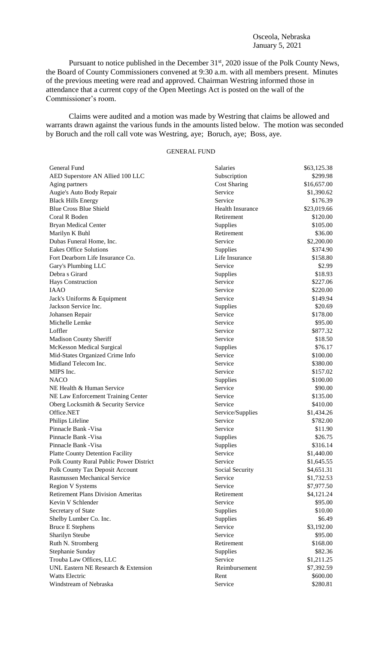## Osceola, Nebraska January 5, 2021

Pursuant to notice published in the December 31<sup>st</sup>, 2020 issue of the Polk County News, the Board of County Commissioners convened at 9:30 a.m. with all members present. Minutes of the previous meeting were read and approved. Chairman Westring informed those in attendance that a current copy of the Open Meetings Act is posted on the wall of the Commissioner's room.

Claims were audited and a motion was made by Westring that claims be allowed and warrants drawn against the various funds in the amounts listed below. The motion was seconded by Boruch and the roll call vote was Westring, aye; Boruch, aye; Boss, aye.

## GENERAL FUND

| General Fund                                | Salaries                | \$63,125.38              |
|---------------------------------------------|-------------------------|--------------------------|
| AED Superstore AN Allied 100 LLC            | Subscription            | \$299.98                 |
| Aging partners                              | <b>Cost Sharing</b>     | \$16,657.00              |
| Augie's Auto Body Repair                    | Service                 | \$1,390.62               |
| <b>Black Hills Energy</b>                   | Service                 | \$176.39                 |
| <b>Blue Cross Blue Shield</b>               | <b>Health Insurance</b> | \$23,019.66              |
| Coral R Boden                               | Retirement              | \$120.00                 |
| <b>Bryan Medical Center</b>                 | Supplies                | \$105.00                 |
| Marilyn K Buhl                              | Retirement              | \$36.00                  |
| Dubas Funeral Home, Inc.                    | Service                 | \$2,200.00               |
| <b>Eakes Office Solutions</b>               | Supplies                | \$374.90                 |
| Fort Dearborn Life Insurance Co.            | Life Insurance          | \$158.80                 |
| Gary's Plumbing LLC                         | Service                 | \$2.99                   |
| Debra s Girard                              | Supplies                | \$18.93                  |
| <b>Hays Construction</b>                    | Service                 | \$227.06                 |
| <b>IAAO</b>                                 | Service                 | \$220.00                 |
| Jack's Uniforms & Equipment                 | Service                 | \$149.94                 |
| Jackson Service Inc.                        | Supplies                | \$20.69                  |
| Johansen Repair                             | Service                 | \$178.00                 |
| Michelle Lemke                              | Service                 | \$95.00                  |
| Loffler                                     | Service                 | \$877.32                 |
| Madison County Sheriff                      | Service                 | \$18.50                  |
| <b>McKesson Medical Surgical</b>            | Supplies                | \$76.17                  |
| Mid-States Organized Crime Info             | Service                 | \$100.00                 |
| Midland Telecom Inc.                        | Service                 | \$380.00                 |
| MIPS Inc.                                   | Service                 | \$157.02                 |
| <b>NACO</b>                                 | Supplies                | \$100.00                 |
| NE Health & Human Service                   | Service                 | \$90.00                  |
| NE Law Enforcement Training Center          | Service                 | \$135.00                 |
| Oberg Locksmith & Security Service          | Service                 | \$410.00                 |
| Office.NET                                  | Service/Supplies        | \$1,434.26               |
| Philips Lifeline                            | Service                 | \$782.00                 |
| Pinnacle Bank - Visa                        | Service                 | \$11.90                  |
| Pinnacle Bank - Visa                        | Supplies                | \$26.75                  |
| Pinnacle Bank - Visa                        | Supplies                | \$316.14                 |
| <b>Platte County Detention Facility</b>     | Service                 | \$1,440.00               |
| Polk County Rural Public Power District     | Service                 | \$1,645.55               |
| Polk County Tax Deposit Account             | Social Security         | \$4,651.31               |
| <b>Rasmussen Mechanical Service</b>         | Service                 | \$1,732.53               |
| <b>Region V Systems</b>                     | Service                 | \$7,977.50               |
| <b>Retirement Plans Division Ameritas</b>   | Retirement              | \$4,121.24               |
| Kevin V Schlender                           | Service                 | \$95.00                  |
| Secretary of State                          | Supplies                | \$10.00                  |
| Shelby Lumber Co. Inc.                      | Supplies                | \$6.49                   |
| <b>Bruce E Stephens</b>                     | Service                 | \$3,192.00               |
| Sharilyn Steube                             | Service                 | \$95.00                  |
| Ruth N. Stromberg                           | Retirement              | \$168.00                 |
|                                             |                         |                          |
| Stephanie Sunday<br>Trouba Law Offices, LLC | Supplies<br>Service     | \$82.36                  |
| UNL Eastern NE Research & Extension         | Reimbursement           | \$1,211.25<br>\$7,392.59 |
| Watts Electric                              |                         |                          |
|                                             | Rent                    | \$600.00                 |
| Windstream of Nebraska                      | Service                 | \$280.81                 |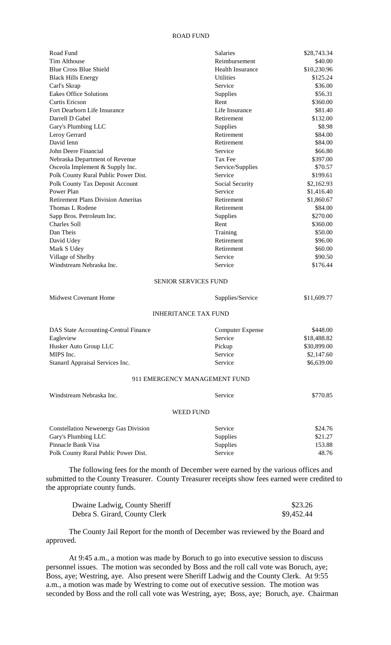## ROAD FUND

| Road Fund                                                                           | <b>Salaries</b>               | \$28,743.34       |
|-------------------------------------------------------------------------------------|-------------------------------|-------------------|
| Tim Althouse                                                                        | Reimbursement                 | \$40.00           |
| <b>Blue Cross Blue Shield</b>                                                       | Health Insurance              | \$10,230.96       |
| <b>Black Hills Energy</b>                                                           | <b>Utilities</b>              | \$125.24          |
| Carl's Skrap                                                                        | Service                       | \$36.00           |
| <b>Eakes Office Solutions</b>                                                       | Supplies                      | \$56.31           |
| <b>Curtis Ericson</b>                                                               | Rent                          | \$360.00          |
| Fort Dearborn Life Insurance                                                        | Life Insurance                | \$81.40           |
| Darrell D Gabel                                                                     | Retirement                    | \$132.00          |
| Gary's Plumbing LLC                                                                 | Supplies                      | \$8.98            |
| Leroy Gerrard                                                                       | Retirement                    | \$84.00           |
| David Ienn                                                                          | Retirement                    | \$84.00           |
| John Deere Financial                                                                | Service                       | \$66.80           |
| Nebraska Department of Revenue                                                      | Tax Fee                       | \$397.00          |
| Osceola Implement & Supply Inc.                                                     | Service/Supplies              | \$70.57           |
| Polk County Rural Public Power Dist.                                                | Service                       | \$199.61          |
| Polk County Tax Deposit Account                                                     | Social Security               | \$2,162.93        |
| Power Plan                                                                          | Service                       | \$1,416.40        |
| <b>Retirement Plans Division Ameritas</b>                                           | Retirement                    | \$1,860.67        |
| Thomas L Rodene                                                                     | Retirement                    | \$84.00           |
| Sapp Bros. Petroleum Inc.                                                           | Supplies                      | \$270.00          |
| <b>Charles Soll</b>                                                                 | Rent                          | \$360.00          |
| Dan Theis                                                                           | Training                      | \$50.00           |
| David Udey                                                                          | Retirement                    | \$96.00           |
| Mark S Udey                                                                         | Retirement                    | \$60.00           |
| Village of Shelby                                                                   | Service                       | \$90.50           |
| Windstream Nebraska Inc.                                                            | Service                       | \$176.44          |
|                                                                                     | <b>SENIOR SERVICES FUND</b>   |                   |
| <b>Midwest Covenant Home</b>                                                        | Supplies/Service              | \$11,609.77       |
|                                                                                     | <b>INHERITANCE TAX FUND</b>   |                   |
| DAS State Accounting-Central Finance                                                | <b>Computer Expense</b>       | \$448.00          |
| Eagleview                                                                           | Service                       | \$18,488.82       |
| Husker Auto Group LLC                                                               | Pickup                        | \$30,899.00       |
| MIPS Inc.                                                                           | Service                       | \$2,147.60        |
| Stanard Appraisal Services Inc.                                                     | Service                       | \$6,639.00        |
|                                                                                     | 911 EMERGENCY MANAGEMENT FUND |                   |
| Windstream Nebraska Inc.                                                            | Service                       | \$770.85          |
|                                                                                     | <b>WEED FUND</b>              |                   |
|                                                                                     |                               |                   |
| <b>Constellation Newenergy Gas Division</b>                                         | Service                       | \$24.76           |
| Gary's Plumbing LLC<br>Pinnacle Bank Visa                                           | Supplies                      | \$21.27<br>153.88 |
| Polk County Rural Public Power Dist.                                                | Supplies<br>Service           | 48.76             |
| The following fees for the month of December were earned by the various offices and |                               |                   |

submitted to the County Treasurer. County Treasurer receipts show fees earned were credited to the appropriate county funds.

| Dwaine Ladwig, County Sheriff | \$23.26    |
|-------------------------------|------------|
| Debra S. Girard, County Clerk | \$9,452.44 |

The County Jail Report for the month of December was reviewed by the Board and approved.

At 9:45 a.m., a motion was made by Boruch to go into executive session to discuss personnel issues. The motion was seconded by Boss and the roll call vote was Boruch, aye; Boss, aye; Westring, aye. Also present were Sheriff Ladwig and the County Clerk. At 9:55 a.m., a motion was made by Westring to come out of executive session. The motion was seconded by Boss and the roll call vote was Westring, aye; Boss, aye; Boruch, aye. Chairman